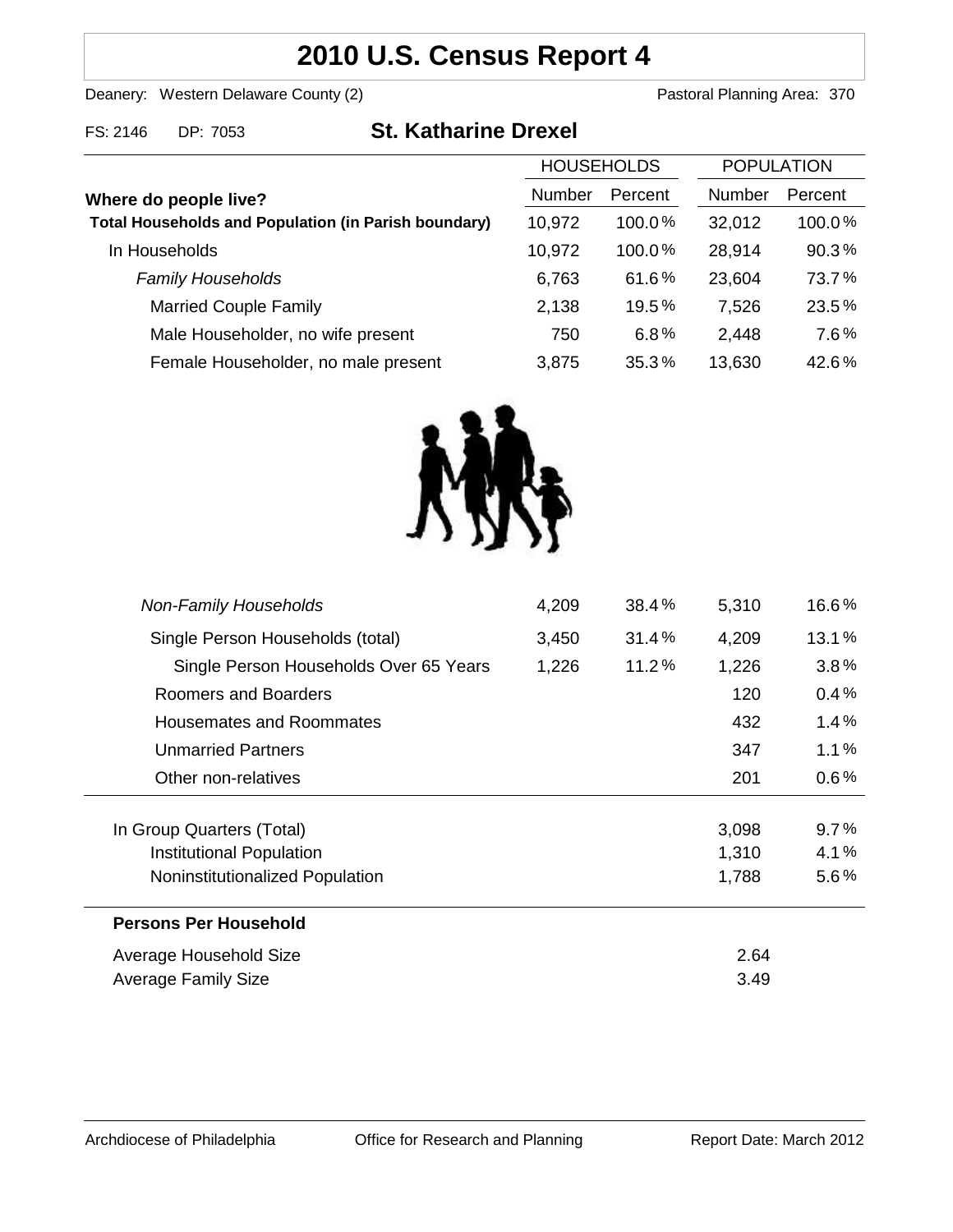## **2010 U.S. Census Report 4**

Deanery: Western Delaware County (2) Deanery: Western Delaware County (2)

| FS: 2146 | DP: 7053 |  |
|----------|----------|--|

# **COS3 St. Katharine Drexel**

|                                                             | <b>HOUSEHOLDS</b> |           | <b>POPULATION</b> |         |
|-------------------------------------------------------------|-------------------|-----------|-------------------|---------|
| Where do people live?                                       | <b>Number</b>     | Percent   | <b>Number</b>     | Percent |
| <b>Total Households and Population (in Parish boundary)</b> | 10,972            | $100.0\%$ | 32,012            | 100.0%  |
| In Households                                               | 10,972            | 100.0%    | 28,914            | 90.3%   |
| <b>Family Households</b>                                    | 6,763             | 61.6%     | 23,604            | 73.7%   |
| <b>Married Couple Family</b>                                | 2,138             | 19.5%     | 7,526             | 23.5%   |
| Male Householder, no wife present                           | 750               | 6.8%      | 2,448             | 7.6%    |
| Female Householder, no male present                         | 3,875             | 35.3%     | 13,630            | 42.6%   |
|                                                             |                   |           |                   |         |



| <b>Non-Family Households</b>           | 4,209 | 38.4% | 5,310 | 16.6%   |
|----------------------------------------|-------|-------|-------|---------|
| Single Person Households (total)       | 3,450 | 31.4% | 4,209 | 13.1%   |
| Single Person Households Over 65 Years | 1,226 | 11.2% | 1,226 | $3.8\%$ |
| Roomers and Boarders                   |       |       | 120   | 0.4%    |
| Housemates and Roommates               |       |       | 432   | 1.4%    |
| <b>Unmarried Partners</b>              |       |       | 347   | 1.1%    |
| Other non-relatives                    |       |       | 201   | $0.6\%$ |
| In Group Quarters (Total)              |       |       | 3,098 | 9.7%    |
| Institutional Population               |       |       | 1,310 | 4.1%    |
| Noninstitutionalized Population        |       |       | 1,788 | $5.6\%$ |
| <b>Persons Per Household</b>           |       |       |       |         |
| Average Household Size                 |       |       | 2.64  |         |
| Average Family Size                    |       |       | 3.49  |         |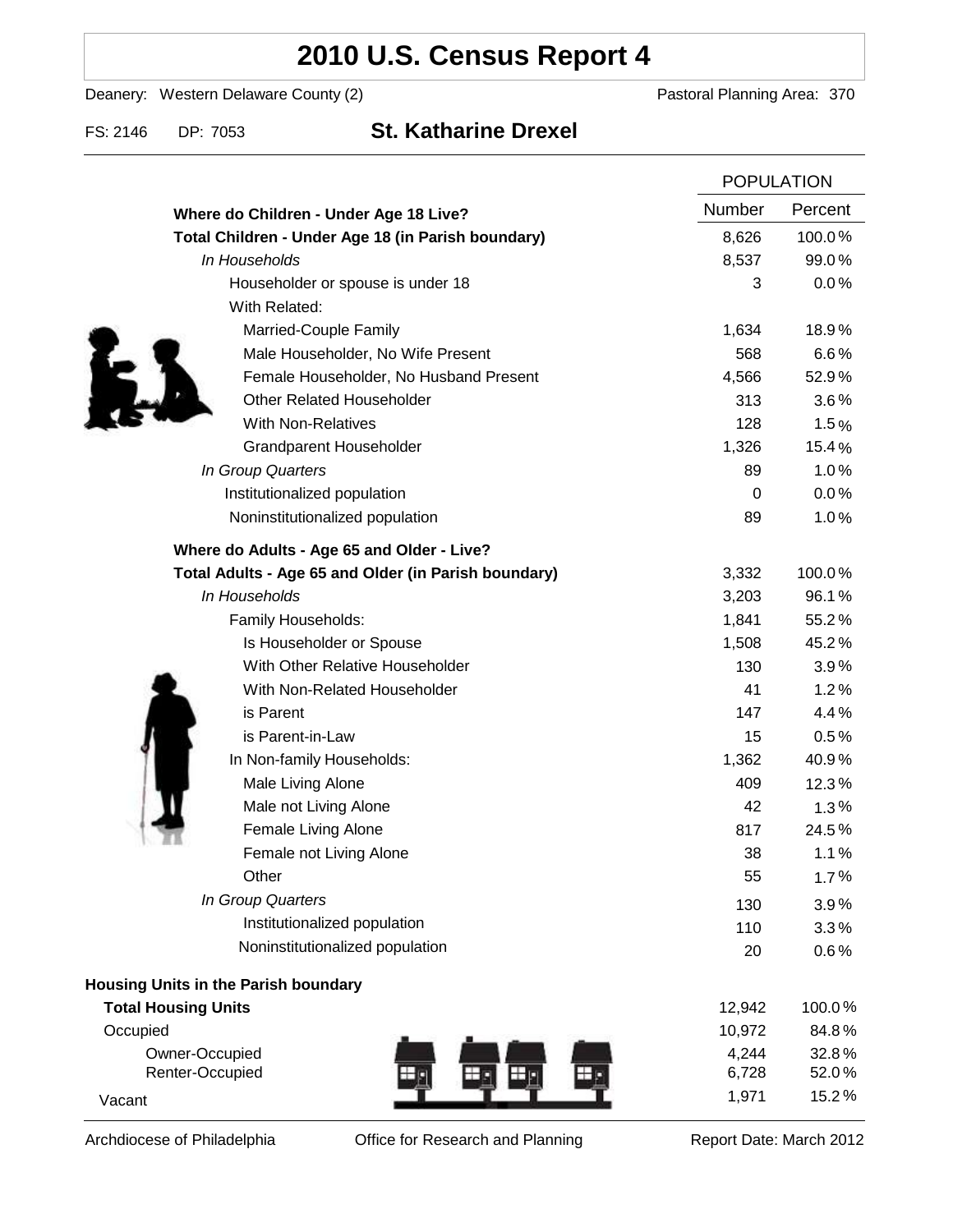## **2010 U.S. Census Report 4**

Deanery: Western Delaware County (2) Deanery: Western Delaware County (2)

### FS: 2146 DP: 7053 **St. Katharine Drexel**

|                                                      | <b>POPULATION</b> |         |
|------------------------------------------------------|-------------------|---------|
| Where do Children - Under Age 18 Live?               | Number            | Percent |
| Total Children - Under Age 18 (in Parish boundary)   | 8,626             | 100.0%  |
| In Households                                        | 8,537             | 99.0%   |
| Householder or spouse is under 18                    | 3                 | 0.0%    |
| With Related:                                        |                   |         |
| Married-Couple Family                                | 1,634             | 18.9%   |
| Male Householder, No Wife Present                    | 568               | 6.6%    |
| Female Householder, No Husband Present               | 4,566             | 52.9%   |
| <b>Other Related Householder</b>                     | 313               | 3.6%    |
| <b>With Non-Relatives</b>                            | 128               | 1.5%    |
| <b>Grandparent Householder</b>                       | 1,326             | 15.4%   |
| In Group Quarters                                    | 89                | 1.0%    |
| Institutionalized population                         | 0                 | 0.0%    |
| Noninstitutionalized population                      | 89                | 1.0%    |
| Where do Adults - Age 65 and Older - Live?           |                   |         |
| Total Adults - Age 65 and Older (in Parish boundary) | 3,332             | 100.0%  |
| In Households                                        | 3,203             | 96.1%   |
| Family Households:                                   | 1,841             | 55.2%   |
| Is Householder or Spouse                             | 1,508             | 45.2%   |
| With Other Relative Householder                      | 130               | 3.9%    |
| With Non-Related Householder                         | 41                | 1.2%    |
| is Parent                                            | 147               | 4.4%    |
| is Parent-in-Law                                     | 15                | 0.5%    |
| In Non-family Households:                            | 1,362             | 40.9%   |
| Male Living Alone                                    | 409               | 12.3%   |
| Male not Living Alone                                | 42                | 1.3%    |
| Female Living Alone                                  | 817               | 24.5%   |
| Female not Living Alone                              | 38                | 1.1%    |
| Other                                                | 55                | 1.7%    |
| In Group Quarters                                    | 130               | 3.9%    |
| Institutionalized population                         | 110               | 3.3%    |
| Noninstitutionalized population                      | 20                | 0.6%    |
| Housing Units in the Parish boundary                 |                   |         |
| <b>Total Housing Units</b>                           | 12,942            | 100.0%  |
| Occupied                                             | 10,972            | 84.8%   |
| Owner-Occupied                                       | 4,244             | 32.8%   |
| Renter-Occupied                                      | 6,728             | 52.0%   |
| Vacant                                               | 1,971             | 15.2%   |

Archdiocese of Philadelphia **Office for Research and Planning** Report Date: March 2012